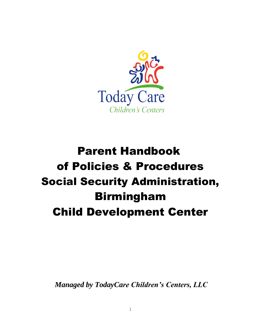

# Parent Handbook of Policies & Procedures Social Security Administration, Birmingham Child Development Center

*Managed by TodayCare Children's Centers, LLC*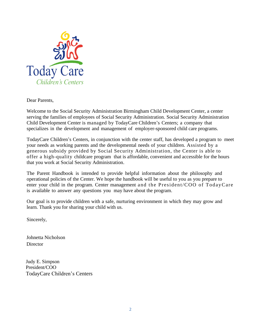

Dear Parents,

Welcome to the Social Security Administration Birmingham Child Development Center, a center serving the families of employees of Social Security Administration. Social Security Administration Child Development Center is managed by TodayCare Children's Centers; a company that specializes in the development and management of employer-sponsored child care programs.

TodayCare Children's Centers, in conjunction with the center staff, has developed a program to meet your needs as working parents and the developmental needs of your children. Assisted by a generous subsidy provided by Social Security Administration, the Center is able to offer a high-quality childcare program that is affordable, convenient and accessible for the hours that you work at Social Security Administration.

The Parent Handbook is intended to provide helpful information about the philosophy and operational policies of the Center. We hope the handbook will be useful to you as you prepare to enter your child in the program. Center management and the President/COO of TodayCare is available to answer any questions you may have about the program.

Our goal is to provide children with a safe, nurturing environment in which they may grow and learn. Thank you for sharing your child with us.

Sincerely,

Johnetta Nicholson **Director** 

Judy E. Simpson President/COO TodayCare Children's Centers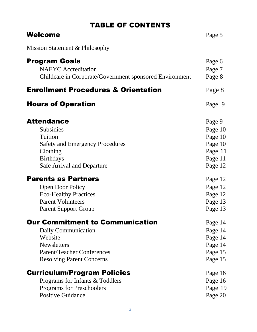# TABLE OF CONTENTS

| <b>Welcome</b>                                          | Page 5  |
|---------------------------------------------------------|---------|
| Mission Statement & Philosophy                          |         |
| <b>Program Goals</b>                                    | Page 6  |
| <b>NAEYC</b> Accreditation                              | Page 7  |
| Childcare in Corporate/Government sponsored Environment | Page 8  |
| <b>Enrollment Procedures &amp; Orientation</b>          | Page 8  |
| <b>Hours of Operation</b>                               | Page 9  |
| <b>Attendance</b>                                       | Page 9  |
| <b>Subsidies</b>                                        | Page 10 |
| Tuition                                                 | Page 10 |
| <b>Safety and Emergency Procedures</b>                  | Page 10 |
| Clothing                                                | Page 11 |
| <b>Birthdays</b>                                        | Page 11 |
| <b>Safe Arrival and Departure</b>                       | Page 12 |
| <b>Parents as Partners</b>                              | Page 12 |
| <b>Open Door Policy</b>                                 | Page 12 |
| <b>Eco-Healthy Practices</b>                            | Page 12 |
| <b>Parent Volunteers</b>                                | Page 13 |
| <b>Parent Support Group</b>                             | Page 13 |
| <b>Our Commitment to Communication</b>                  | Page 14 |
| Daily Communication                                     | Page 14 |
| Website                                                 | Page 14 |
| <b>Newsletters</b>                                      | Page 14 |
| <b>Parent/Teacher Conferences</b>                       | Page 15 |
| <b>Resolving Parent Concerns</b>                        | Page 15 |
| <b>Curriculum/Program Policies</b>                      | Page 16 |
| Programs for Infants & Toddlers                         | Page 16 |
| <b>Programs for Preschoolers</b>                        | Page 19 |
| <b>Positive Guidance</b>                                | Page 20 |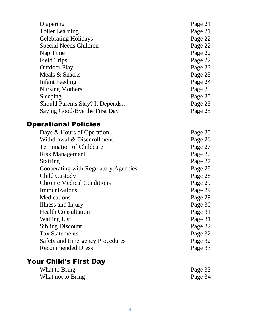| Diapering                       | Page 21 |
|---------------------------------|---------|
|                                 |         |
| <b>Toilet Learning</b>          | Page 21 |
| <b>Celebrating Holidays</b>     | Page 22 |
| Special Needs Children          | Page 22 |
| Nap Time                        | Page 22 |
| <b>Field Trips</b>              | Page 22 |
| <b>Outdoor Play</b>             | Page 23 |
| Meals & Snacks                  | Page 23 |
| Infant Feeding                  | Page 24 |
| Nursing Mothers                 | Page 25 |
| Sleeping                        | Page 25 |
| Should Parents Stay? It Depends | Page 25 |
| Saying Good-Bye the First Day   | Page 25 |

#### Operational Policies

| Days & Hours of Operation              | Page 25 |
|----------------------------------------|---------|
| Withdrawal & Disenrollment             | Page 26 |
| <b>Termination of Childcare</b>        | Page 27 |
| <b>Risk Management</b>                 | Page 27 |
| <b>Staffing</b>                        | Page 27 |
| Cooperating with Regulatory Agencies   | Page 28 |
| Child Custody                          | Page 28 |
| <b>Chronic Medical Conditions</b>      | Page 29 |
| Immunizations                          | Page 29 |
| <b>Medications</b>                     | Page 29 |
| Illness and Injury                     | Page 30 |
| <b>Health Consultation</b>             | Page 31 |
| <b>Waiting List</b>                    | Page 31 |
| <b>Sibling Discount</b>                | Page 32 |
| <b>Tax Statements</b>                  | Page 32 |
| <b>Safety and Emergency Procedures</b> | Page 32 |
| <b>Recommended Dress</b>               | Page 33 |
|                                        |         |

# Your Child's First Day

| What to Bring     | Page 33 |
|-------------------|---------|
| What not to Bring | Page 34 |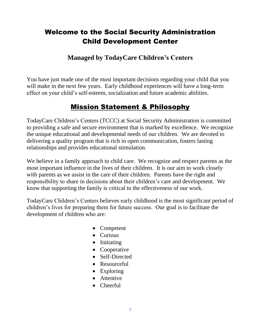#### Welcome to the Social Security Administration Child Development Center

#### **Managed by TodayCare Children's Centers**

You have just made one of the most important decisions regarding your child that you will make in the next few years. Early childhood experiences will have a long-term effect on your child's self-esteem, socialization and future academic abilities.

#### Mission Statement & Philosophy

TodayCare Children's Centers (TCCC) at Social Security Administration is committed to providing a safe and secure environment that is marked by excellence. We recognize the unique educational and developmental needs of our children. We are devoted to delivering a quality program that is rich in open communication, fosters lasting relationships and provides educational stimulation.

We believe in a family approach to child care. We recognize and respect parents as the most important influence in the lives of their children. It is our aim to work closely with parents as we assist in the care of their children. Parents have the right and responsibility to share in decisions about their children's care and development. We know that supporting the family is critical to the effectiveness of our work.

TodayCare Children's Centers believes early childhood is the most significant period of children's lives for preparing them for future success. Our goal is to facilitate the development of children who are:

- Competent
- Curious
- Initiating
- Cooperative
- Self-Directed
- Resourceful
- Exploring
- Attentive
- Cheerful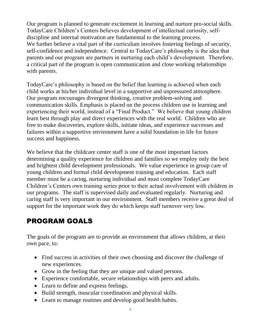Our program is planned to generate excitement in learning and nurture pro-social skills. TodayCare Children's Centers believes development of intellectual curiosity, selfdiscipline and internal motivation are fundamental to the learning process. We further believe a vital part of the curriculum involves fostering feelings of security, self-confidence and independence. Central to TodayCare's philosophy is the idea that parents and our program are partners in nurturing each child's development. Therefore, a critical part of the program is open communication and close working relationships with parents.

TodayCare's philosophy is based on the belief that learning is achieved when each child works at his/her individual level in a supportive and unpressured atmosphere. Our program encourages divergent thinking, creative problem-solving and communication skills. Emphasis is placed on the process children use in learning and experiencing their world, instead of a "Final Product." We believe that young children learn best through play and direct experiences with the real world. Children who are free to make discoveries, explore skills, initiate ideas, and experience successes and failures within a supportive environment have a solid foundation in life for future success and happiness.

We believe that the childcare center staff is one of the most important factors determining a quality experience for children and families so we employ only the best and brightest child development professionals. We value experience in group care of young children and formal child development training and education. Each staff member must be a caring, nurturing individual and must complete TodayCare Children's Centers own training series prior to their actual involvement with children in our programs. The staff is supervised daily and evaluated regularly. Nurturing and caring staff is very important in our environment. Staff members receive a great deal of support for the important work they do which keeps staff turnover very low.

# PROGRAM GOALS

The goals of the program are to provide an environment that allows children, at their own pace, to:

- Find success in activities of their own choosing and discover the challenge of new experiences.
- Grow in the feeling that they are unique and valued persons.
- Experience comfortable, secure relationships with peers and adults.
- Learn to define and express feelings.
- Build strength, muscular coordination and physical skills.
- Learn to manage routines and develop good health habits.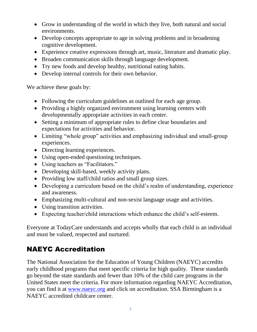- Grow in understanding of the world in which they live, both natural and social environments.
- Develop concepts appropriate to age in solving problems and in broadening cognitive development.
- Experience creative expressions through art, music, literature and dramatic play.
- Broaden communication skills through language development.
- Try new foods and develop healthy, nutritional eating habits.
- Develop internal controls for their own behavior.

We achieve these goals by:

- Following the curriculum guidelines as outlined for each age group.
- Providing a highly organized environment using learning centers with developmentally appropriate activities in each center.
- Setting a minimum of appropriate rules to define clear boundaries and expectations for activities and behavior.
- Limiting "whole group" activities and emphasizing individual and small-group experiences.
- Directing learning experiences.
- Using open-ended questioning techniques.
- Using teachers as "Facilitators."
- Developing skill-based, weekly activity plans.
- Providing low staff/child ratios and small group sizes.
- Developing a curriculum based on the child's realm of understanding, experience and awareness.
- Emphasizing multi-cultural and non-sexist language usage and activities.
- Using transition activities.
- Expecting teacher/child interactions which enhance the child's self-esteem.

Everyone at TodayCare understands and accepts wholly that each child is an individual and must be valued, respected and nurtured.

# NAEYC Accreditation

The National Association for the Education of Young Children (NAEYC) accredits early childhood programs that meet specific criteria for high quality. These standards go beyond the state standards and fewer than 10% of the child care programs in the United States meet the criteria. For more information regarding NAEYC Accreditation, you can find it at [www.naeyc.org](http://www.naeyc.org/) and click on accreditation. SSA Birmingham is a NAEYC accredited childcare center.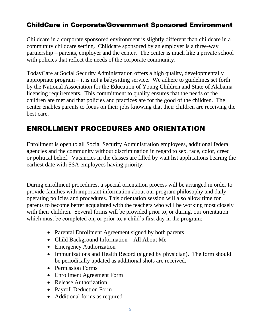#### ChildCare in Corporate/Government Sponsored Environment

Childcare in a corporate sponsored environment is slightly different than childcare in a community childcare setting. Childcare sponsored by an employer is a three-way partnership – parents, employer and the center. The center is much like a private school with policies that reflect the needs of the corporate community.

TodayCare at Social Security Administration offers a high quality, developmentally appropriate program – it is not a babysitting service. We adhere to guidelines set forth by the National Association for the Education of Young Children and State of Alabama licensing requirements. This commitment to quality ensures that the needs of the children are met and that policies and practices are for the good of the children. The center enables parents to focus on their jobs knowing that their children are receiving the best care.

#### ENROLLMENT PROCEDURES AND ORIENTATION

Enrollment is open to all Social Security Administration employees, additional federal agencies and the community without discrimination in regard to sex, race, color, creed or political belief. Vacancies in the classes are filled by wait list applications bearing the earliest date with SSA employees having priority.

During enrollment procedures, a special orientation process will be arranged in order to provide families with important information about our program philosophy and daily operating policies and procedures. This orientation session will also allow time for parents to become better acquainted with the teachers who will be working most closely with their children. Several forms will be provided prior to, or during, our orientation which must be completed on, or prior to, a child's first day in the program:

- Parental Enrollment Agreement signed by both parents
- Child Background Information All About Me
- Emergency Authorization
- Immunizations and Health Record (signed by physician). The form should be periodically updated as additional shots are received.
- Permission Forms
- Enrollment Agreement Form
- Release Authorization
- Payroll Deduction Form
- Additional forms as required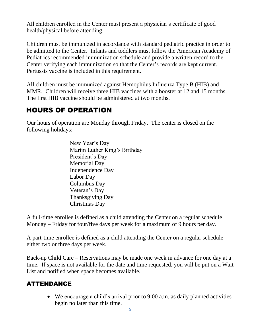All children enrolled in the Center must present a physician's certificate of good health/physical before attending.

Children must be immunized in accordance with standard pediatric practice in order to be admitted to the Center. Infants and toddlers must follow the American Academy of Pediatrics recommended immunization schedule and provide a written record to the Center verifying each immunization so that the Center's records are kept current. Pertussis vaccine is included in this requirement.

All children must be immunized against Hemophilus Influenza Type B (HIB) and MMR. Children will receive three HIB vaccines with a booster at 12 and 15 months. The first HIB vaccine should be administered at two months.

## HOURS OF OPERATION

Our hours of operation are Monday through Friday. The center is closed on the following holidays:

> New Year's Day Martin Luther King's Birthday President's Day Memorial Day Independence Day Labor Day Columbus Day Veteran's Day Thanksgiving Day Christmas Day

A full-time enrollee is defined as a child attending the Center on a regular schedule Monday – Friday for four/five days per week for a maximum of 9 hours per day.

A part-time enrollee is defined as a child attending the Center on a regular schedule either two or three days per week.

Back-up Child Care – Reservations may be made one week in advance for one day at a time. If space is not available for the date and time requested, you will be put on a Wait List and notified when space becomes available.

#### ATTENDANCE

• We encourage a child's arrival prior to 9:00 a.m. as daily planned activities begin no later than this time.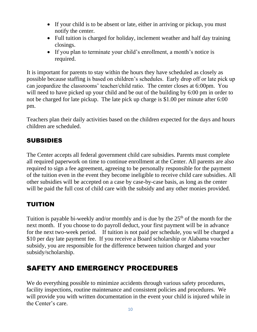- If your child is to be absent or late, either in arriving or pickup, you must notify the center.
- Full tuition is charged for holiday, inclement weather and half day training closings.
- If you plan to terminate your child's enrollment, a month's notice is required.

It is important for parents to stay within the hours they have scheduled as closely as possible because staffing is based on children's schedules. Early drop off or late pick up can jeopardize the classrooms' teacher/child ratio. The center closes at 6:00pm. You will need to have picked up your child and be out of the building by 6:00 pm in order to not be charged for late pickup. The late pick up charge is \$1.00 per minute after 6:00 pm.

Teachers plan their daily activities based on the children expected for the days and hours children are scheduled.

#### SUBSIDIES

The Center accepts all federal government child care subsidies. Parents must complete all required paperwork on time to continue enrollment at the Center. All parents are also required to sign a fee agreement, agreeing to be personally responsible for the payment of the tuition even in the event they become ineligible to receive child care subsidies. All other subsidies will be accepted on a case by case-by-case basis, as long as the center will be paid the full cost of child care with the subsidy and any other monies provided.

#### TUITION

Tuition is payable bi-weekly and/or monthly and is due by the  $25<sup>th</sup>$  of the month for the next month. If you choose to do payroll deduct, your first payment will be in advance for the next two-week period. If tuition is not paid per schedule, you will be charged a \$10 per day late payment fee. If you receive a Board scholarship or Alabama voucher subsidy, you are responsible for the difference between tuition charged and your subsidy/scholarship.

# SAFETY AND EMERGENCY PROCEDURES

We do everything possible to minimize accidents through various safety procedures, facility inspections, routine maintenance and consistent policies and procedures. We will provide you with written documentation in the event your child is injured while in the Center's care.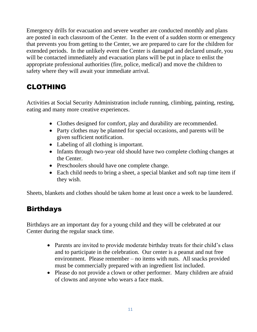Emergency drills for evacuation and severe weather are conducted monthly and plans are posted in each classroom of the Center. In the event of a sudden storm or emergency that prevents you from getting to the Center, we are prepared to care for the children for extended periods. In the unlikely event the Center is damaged and declared unsafe, you will be contacted immediately and evacuation plans will be put in place to enlist the appropriate professional authorities (fire, police, medical) and move the children to safety where they will await your immediate arrival.

#### CLOTHING

Activities at Social Security Administration include running, climbing, painting, resting, eating and many more creative experiences.

- Clothes designed for comfort, play and durability are recommended.
- Party clothes may be planned for special occasions, and parents will be given sufficient notification.
- Labeling of all clothing is important.
- Infants through two-year old should have two complete clothing changes at the Center.
- Preschoolers should have one complete change.
- Each child needs to bring a sheet, a special blanket and soft nap time item if they wish.

Sheets, blankets and clothes should be taken home at least once a week to be laundered.

#### **Birthdays**

Birthdays are an important day for a young child and they will be celebrated at our Center during the regular snack time.

- Parents are invited to provide moderate birthday treats for their child's class and to participate in the celebration. Our center is a peanut and nut free environment. Please remember – no items with nuts. All snacks provided must be commercially prepared with an ingredient list included.
- Please do not provide a clown or other performer. Many children are afraid of clowns and anyone who wears a face mask.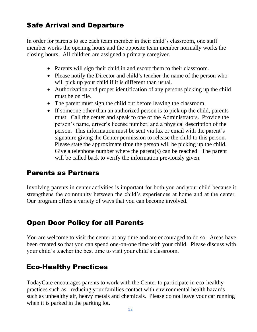#### Safe Arrival and Departure

In order for parents to see each team member in their child's classroom, one staff member works the opening hours and the opposite team member normally works the closing hours. All children are assigned a primary caregiver.

- Parents will sign their child in and escort them to their classroom.
- Please notify the Director and child's teacher the name of the person who will pick up your child if it is different than usual.
- Authorization and proper identification of any persons picking up the child must be on file.
- The parent must sign the child out before leaving the classroom.
- If someone other than an authorized person is to pick up the child, parents must: Call the center and speak to one of the Administrators. Provide the person's name, driver's license number, and a physical description of the person. This information must be sent via fax or email with the parent's signature giving the Center permission to release the child to this person. Please state the approximate time the person will be picking up the child. Give a telephone number where the parent(s) can be reached. The parent will be called back to verify the information previously given.

#### Parents as Partners

Involving parents in center activities is important for both you and your child because it strengthens the community between the child's experiences at home and at the center. Our program offers a variety of ways that you can become involved.

#### Open Door Policy for all Parents

You are welcome to visit the center at any time and are encouraged to do so. Areas have been created so that you can spend one-on-one time with your child. Please discuss with your child's teacher the best time to visit your child's classroom.

#### Eco-Healthy Practices

TodayCare encourages parents to work with the Center to participate in eco-healthy practices such as: reducing your families contact with environmental health hazards such as unhealthy air, heavy metals and chemicals. Please do not leave your car running when it is parked in the parking lot.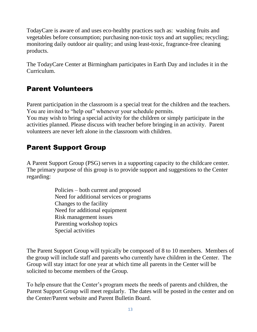TodayCare is aware of and uses eco-healthy practices such as: washing fruits and vegetables before consumption; purchasing non-toxic toys and art supplies; recycling; monitoring daily outdoor air quality; and using least-toxic, fragrance-free cleaning products.

The TodayCare Center at Birmingham participates in Earth Day and includes it in the Curriculum.

#### Parent Volunteers

Parent participation in the classroom is a special treat for the children and the teachers. You are invited to "help out" whenever your schedule permits.

You may wish to bring a special activity for the children or simply participate in the activities planned. Please discuss with teacher before bringing in an activity. Parent volunteers are never left alone in the classroom with children.

#### Parent Support Group

A Parent Support Group (PSG) serves in a supporting capacity to the childcare center. The primary purpose of this group is to provide support and suggestions to the Center regarding:

> Policies – both current and proposed Need for additional services or programs Changes to the facility Need for additional equipment Risk management issues Parenting workshop topics Special activities

The Parent Support Group will typically be composed of 8 to 10 members. Members of the group will include staff and parents who currently have children in the Center. The Group will stay intact for one year at which time all parents in the Center will be solicited to become members of the Group.

To help ensure that the Center's program meets the needs of parents and children, the Parent Support Group will meet regularly. The dates will be posted in the center and on the Center/Parent website and Parent Bulletin Board.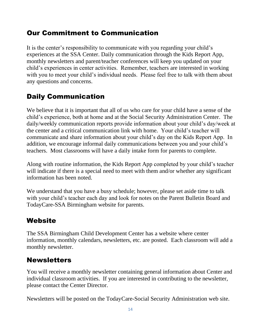#### Our Commitment to Communication

It is the center's responsibility to communicate with you regarding your child's experiences at the SSA Center. Daily communication through the Kids Report App, monthly newsletters and parent/teacher conferences will keep you updated on your child's experiences in center activities. Remember, teachers are interested in working with you to meet your child's individual needs. Please feel free to talk with them about any questions and concerns.

#### Daily Communication

We believe that it is important that all of us who care for your child have a sense of the child's experience, both at home and at the Social Security Administration Center. The daily/weekly communication reports provide information about your child's day/week at the center and a critical communication link with home. Your child's teacher will communicate and share information about your child's day on the Kids Report App. In addition, we encourage informal daily communications between you and your child's teachers. Most classrooms will have a daily intake form for parents to complete.

Along with routine information, the Kids Report App completed by your child's teacher will indicate if there is a special need to meet with them and/or whether any significant information has been noted.

We understand that you have a busy schedule; however, please set aside time to talk with your child's teacher each day and look for notes on the Parent Bulletin Board and TodayCare-SSA Birmingham website for parents.

#### **Website**

The SSA Birmingham Child Development Center has a website where center information, monthly calendars, newsletters, etc. are posted. Each classroom will add a monthly newsletter.

#### **Newsletters**

You will receive a monthly newsletter containing general information about Center and individual classroom activities. If you are interested in contributing to the newsletter, please contact the Center Director.

Newsletters will be posted on the TodayCare-Social Security Administration web site.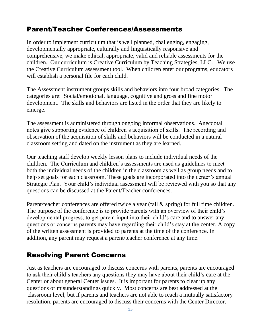#### Parent/Teacher Conferences/Assessments

In order to implement curriculum that is well planned, challenging, engaging, developmentally appropriate, culturally and linguistically responsive and comprehensive, we make ethical, appropriate, valid and reliable assessments for the children. Our curriculum is Creative Curriculum by Teaching Strategies, LLC. We use the Creative Curriculum assessment tool. When children enter our programs, educators will establish a personal file for each child.

The Assessment instrument groups skills and behaviors into four broad categories. The categories are: Social/emotional, language, cognitive and gross and fine motor development. The skills and behaviors are listed in the order that they are likely to emerge.

The assessment is administered through ongoing informal observations. Anecdotal notes give supporting evidence of children's acquisition of skills. The recording and observation of the acquisition of skills and behaviors will be conducted in a natural classroom setting and dated on the instrument as they are learned.

Our teaching staff develop weekly lesson plans to include individual needs of the children. The Curriculum and children's assessments are used as guidelines to meet both the individual needs of the children in the classroom as well as group needs and to help set goals for each classroom. These goals are incorporated into the center's annual Strategic Plan. Your child's individual assessment will be reviewed with you so that any questions can be discussed at the Parent/Teacher conferences.

Parent/teacher conferences are offered twice a year (fall & spring) for full time children. The purpose of the conference is to provide parents with an overview of their child's developmental progress, to get parent input into their child's care and to answer any questions or concerns parents may have regarding their child's stay at the center. A copy of the written assessment is provided to parents at the time of the conference. In addition, any parent may request a parent/teacher conference at any time.

#### Resolving Parent Concerns

Just as teachers are encouraged to discuss concerns with parents, parents are encouraged to ask their child's teachers any questions they may have about their child's care at the Center or about general Center issues. It is important for parents to clear up any questions or misunderstandings quickly. Most concerns are best addressed at the classroom level, but if parents and teachers are not able to reach a mutually satisfactory resolution, parents are encouraged to discuss their concerns with the Center Director.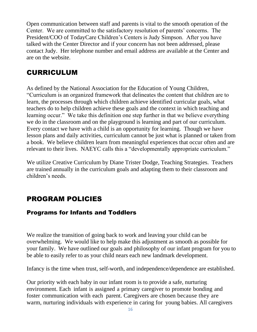Open communication between staff and parents is vital to the smooth operation of the Center. We are committed to the satisfactory resolution of parents' concerns. The President/COO of TodayCare Children's Centers is Judy Simpson. After you have talked with the Center Director and if your concern has not been addressed, please contact Judy. Her telephone number and email address are available at the Center and are on the website.

#### CURRICULUM

As defined by the National Association for the Education of Young Children, "Curriculum is an organized framework that delineates the content that children are to learn, the processes through which children achieve identified curricular goals, what teachers do to help children achieve these goals and the context in which teaching and learning occur." We take this definition one step further in that we believe everything we do in the classroom and on the playground is learning and part of our curriculum. Every contact we have with a child is an opportunity for learning. Though we have lesson plans and daily activities, curriculum cannot be just what is planned or taken from a book. We believe children learn from meaningful experiences that occur often and are relevant to their lives. NAEYC calls this a "developmentally appropriate curriculum."

We utilize Creative Curriculum by Diane Trister Dodge, Teaching Strategies. Teachers are trained annually in the curriculum goals and adapting them to their classroom and children's needs.

#### PROGRAM POLICIES

#### Programs for Infants and Toddlers

We realize the transition of going back to work and leaving your child can be overwhelming. We would like to help make this adjustment as smooth as possible for your family. We have outlined our goals and philosophy of our infant program for you to be able to easily refer to as your child nears each new landmark development.

Infancy is the time when trust, self-worth, and independence/dependence are established.

Our priority with each baby in our infant room is to provide a safe, nurturing environment. Each infant is assigned a primary caregiver to promote bonding and foster communication with each parent. Caregivers are chosen because they are warm, nurturing individuals with experience in caring for young babies. All caregivers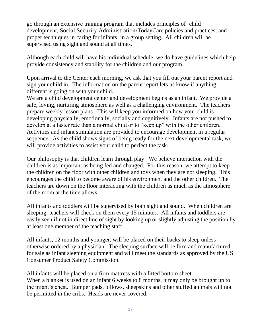go through an extensive training program that includes principles of child development, Social Security Administration/TodayCare policies and practices, and proper techniques in caring for infants in a group setting. All children will be supervised using sight and sound at all times.

Although each child will have his individual schedule, we do have guidelines which help provide consistency and stability for the children and our program.

Upon arrival to the Center each morning, we ask that you fill out your parent report and sign your child in. The information on the parent report lets us know if anything different is going on with your child.

We are a child development center and development begins as an infant. We provide a safe, loving, nurturing atmosphere as well as a challenging environment. The teachers prepare weekly lesson plans. This will keep you informed on how your child is developing physically, emotionally, socially and cognitively. Infants are not pushed to develop at a faster rate than a normal child or to "keep up" with the other children. Activities and infant stimulation are provided to encourage development in a regular sequence. As the child shows signs of being ready for the next developmental task, we will provide activities to assist your child to perfect the task.

Our philosophy is that children learn through play. We believe interaction with the children is as important as being fed and changed. For this reason, we attempt to keep the children on the floor with other children and toys when they are not sleeping. This encourages the child to become aware of his environment and the other children. The teachers are down on the floor interacting with the children as much as the atmosphere of the room at the time allows.

All infants and toddlers will be supervised by both sight and sound. When children are sleeping, teachers will check on them every 15 minutes. All infants and toddlers are easily seen if not in direct line of sight by looking up or slightly adjusting the position by at least one member of the teaching staff.

All infants, 12 months and younger, will be placed on their backs to sleep unless otherwise ordered by a physician. The sleeping surface will be firm and manufactured for sale as infant sleeping equipment and will meet the standards as approved by the US Consumer Product Safety Commission.

All infants will be placed on a firm mattress with a fitted bottom sheet. When a blanket is used on an infant 6 weeks to 8 months, it may only be brought up to the infant's chest. Bumper pads, pillows, sheepskins and other stuffed animals will not be permitted in the cribs. Heads are never covered.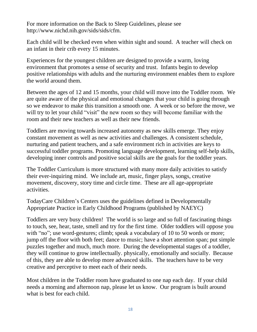For more information on the Back to Sleep Guidelines, please see http://www.nichd.nih.gov/sids/sids/cfm.

Each child will be checked even when within sight and sound. A teacher will check on an infant in their crib every 15 minutes.

Experiences for the youngest children are designed to provide a warm, loving environment that promotes a sense of security and trust. Infants begin to develop positive relationships with adults and the nurturing environment enables them to explore the world around them.

Between the ages of 12 and 15 months, your child will move into the Toddler room. We are quite aware of the physical and emotional changes that your child is going through so we endeavor to make this transition a smooth one. A week or so before the move, we will try to let your child "visit" the new room so they will become familiar with the room and their new teachers as well as their new friends.

Toddlers are moving towards increased autonomy as new skills emerge. They enjoy constant movement as well as new activities and challenges. A consistent schedule, nurturing and patient teachers, and a safe environment rich in activities are keys to successful toddler programs. Promoting language development, learning self-help skills, developing inner controls and positive social skills are the goals for the toddler years.

The Toddler Curriculum is more structured with many more daily activities to satisfy their ever-inquiring mind. We include art, music, finger plays, songs, creative movement, discovery, story time and circle time. These are all age-appropriate activities.

TodayCare Children's Centers uses the guidelines defined in Developmentally Appropriate Practice in Early Childhood Programs (published by NAEYC)

Toddlers are very busy children! The world is so large and so full of fascinating things to touch, see, hear, taste, smell and try for the first time. Older toddlers will oppose you with "no"; use word-gestures; climb; speak a vocabulary of 10 to 50 words or more; jump off the floor with both feet; dance to music; have a short attention span; put simple puzzles together and much, much more. During the developmental stages of a toddler, they will continue to grow intellectually. physically, emotionally and socially. Because of this, they are able to develop more advanced skills. The teachers have to be very creative and perceptive to meet each of their needs.

Most children in the Toddler room have graduated to one nap each day. If your child needs a morning and afternoon nap, please let us know. Our program is built around what is best for each child.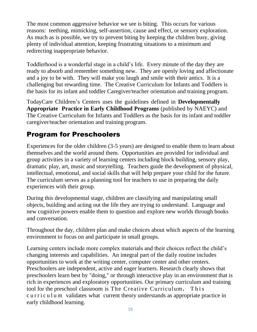The most common aggressive behavior we see is biting. This occurs for various reasons: teething, mimicking, self-assertion, cause and effect, or sensory exploration. As much as is possible, we try to prevent biting by keeping the children busy, giving plenty of individual attention, keeping frustrating situations to a minimum and redirecting inappropriate behavior.

Toddlerhood is a wonderful stage in a child's life. Every minute of the day they are ready to absorb and remember something new. They are openly loving and affectionate and a joy to be with. They will make you laugh and smile with their antics. It is a challenging but rewarding time. The Creative Curriculum for Infants and Toddlers is the basis for its infant and toddler Caregiver/teacher orientation and training program.

TodayCare Children's Centers uses the guidelines defined in **Developmentally Appropriate Practice in Early Childhood Programs** (published by NAEYC) and The Creative Curriculum for Infants and Toddlers as the basis for its infant and toddler caregiver/teacher orientation and training program.

#### Program for Preschoolers

Experiences for the older children (3-5 years) are designed to enable them to learn about themselves and the world around them. Opportunities are provided for individual and group activities in a variety of learning centers including block building, sensory play, dramatic play, art, music and storytelling. Teachers guide the development of physical, intellectual, emotional, and social skills that will help prepare your child for the future. The curriculum serves as a planning tool for teachers to use in preparing the daily experiences with their group.

During this developmental stage, children are classifying and manipulating small objects, building and acting out the life they are trying to understand. Language and new cognitive powers enable them to question and explore new worlds through books and conversation.

Throughout the day, children plan and make choices about which aspects of the learning environment to focus on and participate in small groups.

Learning centers include more complex materials and their choices reflect the child's changing interests and capabilities. An integral part of the daily routine includes opportunities to work at the writing center, computer center and other centers. Preschoolers are independent, active and eager learners. Research clearly shows that preschoolers learn best by "doing," or through interactive play in an environment that is rich in experiences and exploratory opportunities. Our primary curriculum and training tool for the preschool classroom is The Creative Curriculum**.** T h i s curriculum validates what current theory understands as appropriate practice in early childhood learning.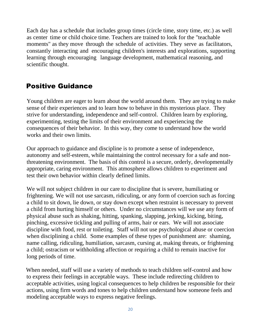Each day has a schedule that includes group times (circle time, story time, etc.) as well as center time or child choice time. Teachers are trained to look for the "teachable moments" as they move through the schedule of activities. They serve as facilitators, constantly interacting and encouraging children's interests and explorations, supporting learning through encouraging language development, mathematical reasoning, and scientific thought.

#### Positive Guidance

Young children are eager to learn about the world around them. They are trying to make sense of their experiences and to learn how to behave in this mysterious place. They strive for understanding, independence and self-control. Children learn by exploring, experimenting, testing the limits of their environment and experiencing the consequences of their behavior. In this way, they come to understand how the world works and their own limits.

Our approach to guidance and discipline is to promote a sense of independence, autonomy and self-esteem, while maintaining the control necessary for a safe and nonthreatening environment. The basis of this control is a secure, orderly, developmentally appropriate, caring environment. This atmosphere allows children to experiment and test their own behavior within clearly defined limits.

We will not subject children in our care to discipline that is severe, humiliating or frightening. We will not use sarcasm, ridiculing, or any form of coercion such as forcing a child to sit down, lie down, or stay down except when restraint is necessary to prevent a child from hurting himself or others. Under no circumstances will we use any form of physical abuse such as shaking, hitting, spanking, slapping, jerking, kicking, biting, pinching, excessive tickling and pulling of arms, hair or ears. We will not associate discipline with food, rest or toileting. Staff will not use psychological abuse or coercion when disciplining a child. Some examples of these types of punishment are: shaming, name calling, ridiculing, humiliation, sarcasm, cursing at, making threats, or frightening a child; ostracism or withholding affection or requiring a child to remain inactive for long periods of time.

When needed, staff will use a variety of methods to teach children self-control and how to express their feelings in acceptable ways. These include redirecting children to acceptable activities, using logical consequences to help children be responsible for their actions, using firm words and tones to help children understand how someone feels and modeling acceptable ways to express negative feelings.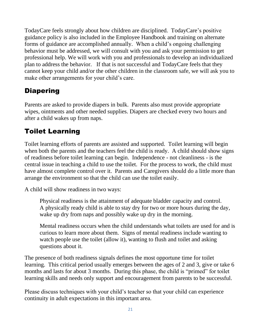TodayCare feels strongly about how children are disciplined. TodayCare's positive guidance policy is also included in the Employee Handbook and training on alternate forms of guidance are accomplished annually. When a child's ongoing challenging behavior must be addressed, we will consult with you and ask your permission to get professional help. We will work with you and professionals to develop an individualized plan to address the behavior. If that is not successful and TodayCare feels that they cannot keep your child and/or the other children in the classroom safe, we will ask you to make other arrangements for your child's care.

## **Diapering**

Parents are asked to provide diapers in bulk. Parents also must provide appropriate wipes, ointments and other needed supplies. Diapers are checked every two hours and after a child wakes up from naps.

#### Toilet Learning

Toilet learning efforts of parents are assisted and supported. Toilet learning will begin when both the parents and the teachers feel the child is ready. A child should show signs of readiness before toilet learning can begin. Independence - not cleanliness - is the central issue in teaching a child to use the toilet. For the process to work, the child must have almost complete control over it. Parents and Caregivers should do a little more than arrange the environment so that the child can use the toilet easily.

A child will show readiness in two ways:

Physical readiness is the attainment of adequate bladder capacity and control. A physically ready child is able to stay dry for two or more hours during the day, wake up dry from naps and possibly wake up dry in the morning.

Mental readiness occurs when the child understands what toilets are used for and is curious to learn more about them. Signs of mental readiness include wanting to watch people use the toilet (allow it), wanting to flush and toilet and asking questions about it.

The presence of both readiness signals defines the most opportune time for toilet learning. This critical period usually emerges between the ages of 2 and 3, give or take 6 months and lasts for about 3 months. During this phase, the child is "primed" for toilet learning skills and needs only support and encouragement from parents to be successful.

Please discuss techniques with your child's teacher so that your child can experience continuity in adult expectations in this important area.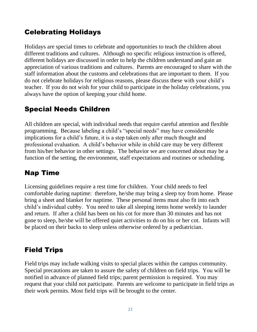#### Celebrating Holidays

Holidays are special times to celebrate and opportunities to teach the children about different traditions and cultures. Although no specific religious instruction is offered, different holidays are discussed in order to help the children understand and gain an appreciation of various traditions and cultures. Parents are encouraged to share with the staff information about the customs and celebrations that are important to them. If you do not celebrate holidays for religious reasons, please discuss these with your child's teacher. If you do not wish for your child to participate in the holiday celebrations, you always have the option of keeping your child home.

#### Special Needs Children

All children are special, with individual needs that require careful attention and flexible programming. Because labeling a child's "special needs" may have considerable implications for a child's future, it is a step taken only after much thought and professional evaluation. A child's behavior while in child care may be very different from his/her behavior in other settings. The behavior we are concerned about may be a function of the setting, the environment, staff expectations and routines or scheduling.

#### Nap Time

Licensing guidelines require a rest time for children. Your child needs to feel comfortable during naptime: therefore, he/she may bring a sleep toy from home. Please bring a sheet and blanket for naptime. These personal items must also fit into each child's individual cubby. You need to take all sleeping items home weekly to launder and return. If after a child has been on his cot for more than 30 minutes and has not gone to sleep, he/she will be offered quiet activities to do on his or her cot. Infants will be placed on their backs to sleep unless otherwise ordered by a pediatrician.

#### Field Trips

Field trips may include walking visits to special places within the campus community. Special precautions are taken to assure the safety of children on field trips. You will be notified in advance of planned field trips; parent permission is required. You may request that your child not participate. Parents are welcome to participate in field trips as their work permits. Most field trips will be brought to the center.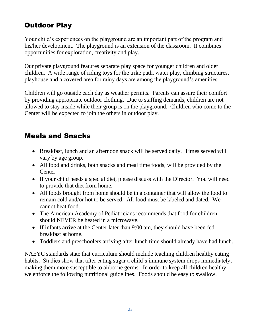# Outdoor Play

Your child's experiences on the playground are an important part of the program and his/her development. The playground is an extension of the classroom. It combines opportunities for exploration, creativity and play.

Our private playground features separate play space for younger children and older children. A wide range of riding toys for the trike path, water play, climbing structures, playhouse and a covered area for rainy days are among the playground's amenities.

Children will go outside each day as weather permits. Parents can assure their comfort by providing appropriate outdoor clothing. Due to staffing demands, children are not allowed to stay inside while their group is on the playground. Children who come to the Center will be expected to join the others in outdoor play.

#### Meals and Snacks

- Breakfast, lunch and an afternoon snack will be served daily. Times served will vary by age group.
- All food and drinks, both snacks and meal time foods, will be provided by the Center.
- If your child needs a special diet, please discuss with the Director. You will need to provide that diet from home.
- All foods brought from home should be in a container that will allow the food to remain cold and/or hot to be served. All food must be labeled and dated. We cannot heat food.
- The American Academy of Pediatricians recommends that food for children should NEVER be heated in a microwave.
- If infants arrive at the Center later than 9:00 am, they should have been fed breakfast at home.
- Toddlers and preschoolers arriving after lunch time should already have had lunch.

NAEYC standards state that curriculum should include teaching children healthy eating habits. Studies show that after eating sugar a child's immune system drops immediately, making them more susceptible to airborne germs. In order to keep all children healthy, we enforce the following nutritional guidelines. Foods should be easy to swallow.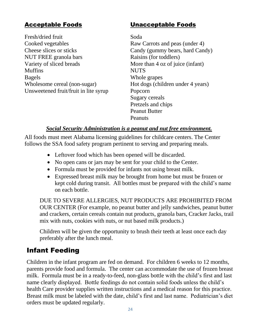Fresh/dried fruit Soda Cooked vegetables Raw Carrots and peas (under 4) Cheese slices or sticks Candy (gummy bears, hard Candy) NUT FREE granola bars Raisins (for toddlers) Variety of sliced breads More than 4 oz of juice (infant) Muffins NUTS Bagels Whole grapes Wholesome cereal (non-sugar) Hot dogs (children under 4 years) Unsweetened fruit/fruit in lite syrup Popcorn

#### Acceptable Foods Unacceptable Foods

Sugary cereals Pretzels and chips Peanut Butter Peanuts

#### *Social Security Administration is a peanut and nut free environment.*

All foods must meet Alabama licensing guidelines for childcare centers. The Center follows the SSA food safety program pertinent to serving and preparing meals.

- Leftover food which has been opened will be discarded.
- No open cans or jars may be sent for your child to the Center.
- Formula must be provided for infants not using breast milk.
- Expressed breast milk may be brought from home but must be frozen or kept cold during transit. All bottles must be prepared with the child's name on each bottle.

DUE TO SEVERE ALLERGIES, NUT PRODUCTS ARE PROHIBITED FROM OUR CENTER (For example, no peanut butter and jelly sandwiches, peanut butter and crackers, certain cereals contain nut products, granola bars, Cracker Jacks, trail mix with nuts, cookies with nuts, or nut based milk products.)

Children will be given the opportunity to brush their teeth at least once each day preferably after the lunch meal.

#### Infant Feeding

Children in the infant program are fed on demand. For children 6 weeks to 12 months, parents provide food and formula. The center can accommodate the use of frozen breast milk. Formula must be in a ready-to-feed, non-glass bottle with the child's first and last name clearly displayed. Bottle feedings do not contain solid foods unless the child's health Care provider supplies written instructions and a medical reason for this practice. Breast milk must be labeled with the date, child's first and last name. Pediatrician's diet orders must be updated regularly.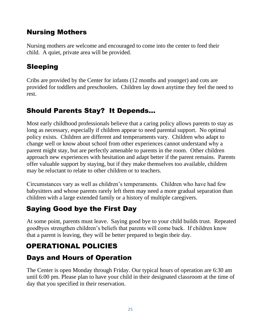#### Nursing Mothers

Nursing mothers are welcome and encouraged to come into the center to feed their child. A quiet, private area will be provided.

### Sleeping

Cribs are provided by the Center for infants (12 months and younger) and cots are provided for toddlers and preschoolers. Children lay down anytime they feel the need to rest.

## Should Parents Stay? It Depends…

Most early childhood professionals believe that a caring policy allows parents to stay as long as necessary, especially if children appear to need parental support. No optimal policy exists. Children are different and temperaments vary. Children who adapt to change well or know about school from other experiences cannot understand why a parent might stay, but are perfectly amenable to parents in the room. Other children approach new experiences with hesitation and adapt better if the parent remains. Parents offer valuable support by staying, but if they make themselves too available, children may be reluctant to relate to other children or to teachers.

Circumstances vary as well as children's temperaments. Children who have had few babysitters and whose parents rarely left them may need a more gradual separation than children with a large extended family or a history of multiple caregivers.

# Saying Good bye the First Day

At some point, parents must leave. Saying good bye to your child builds trust. Repeated goodbyes strengthen children's beliefs that parents will come back. If children know that a parent is leaving, they will be better prepared to begin their day.

# OPERATIONAL POLICIES

#### Days and Hours of Operation

The Center is open Monday through Friday. Our typical hours of operation are 6:30 am until 6:00 pm. Please plan to have your child in their designated classroom at the time of day that you specified in their reservation.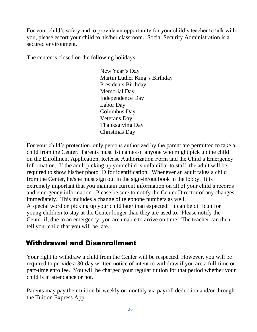For your child's safety and to provide an opportunity for your child's teacher to talk with you, please escort your child to his/her classroom. Social Security Administration is a secured environment.

The center is closed on the following holidays:

New Year's Day Martin Luther King's Birthday Presidents Birthday Memorial Day Independence Day Labor Day Columbus Day Veterans Day Thanksgiving Day Christmas Day

For your child's protection, only persons authorized by the parent are permitted to take a child from the Center. Parents must list names of anyone who might pick up the child on the Enrollment Application, Release Authorization Form and the Child's Emergency Information. If the adult picking up your child is unfamiliar to staff, the adult will be required to show his/her photo ID for identification. Whenever an adult takes a child from the Center, he/she must sign out in the sign-in/out book in the lobby. It is extremely important that you maintain current information on all of your child's records and emergency information. Please be sure to notify the Center Director of any changes immediately. This includes a change of telephone numbers as well. A special word on picking up your child later than expected: It can be difficult for young children to stay at the Center longer than they are used to. Please notify the Center if, due to an emergency, you are unable to arrive on time. The teacher can then tell your child that you will be late.

#### Withdrawal and Disenrollment

Your right to withdraw a child from the Center will be respected. However, you will be required to provide a 30-day written notice of intent to withdraw if you are a full-time or part-time enrollee. You will be charged your regular tuition for that period whether your child is in attendance or not.

Parents may pay their tuition bi-weekly or monthly via payroll deduction and/or through the Tuition Express App.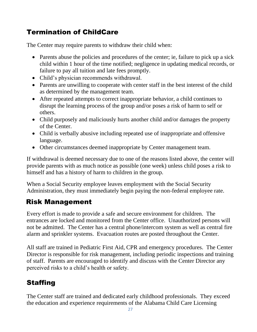#### Termination of ChildCare

The Center may require parents to withdraw their child when:

- Parents abuse the policies and procedures of the center; ie, failure to pick up a sick child within 1 hour of the time notified; negligence in updating medical records, or failure to pay all tuition and late fees promptly.
- Child's physician recommends withdrawal.
- Parents are unwilling to cooperate with center staff in the best interest of the child as determined by the management team.
- After repeated attempts to correct inappropriate behavior, a child continues to disrupt the learning process of the group and/or poses a risk of harm to self or others.
- Child purposely and maliciously hurts another child and/or damages the property of the Center.
- Child is verbally abusive including repeated use of inappropriate and offensive language.
- Other circumstances deemed inappropriate by Center management team.

If withdrawal is deemed necessary due to one of the reasons listed above, the center will provide parents with as much notice as possible (one week) unless child poses a risk to himself and has a history of harm to children in the group.

When a Social Security employee leaves employment with the Social Security Administration, they must immediately begin paying the non-federal employee rate.

#### Risk Management

Every effort is made to provide a safe and secure environment for children. The entrances are locked and monitored from the Center office. Unauthorized persons will not be admitted. The Center has a central phone/intercom system as well as central fire alarm and sprinkler systems. Evacuation routes are posted throughout the Center.

All staff are trained in Pediatric First Aid, CPR and emergency procedures. The Center Director is responsible for risk management, including periodic inspections and training of staff. Parents are encouraged to identify and discuss with the Center Director any perceived risks to a child's health or safety.

# **Staffing**

The Center staff are trained and dedicated early childhood professionals. They exceed the education and experience requirements of the Alabama Child Care Licensing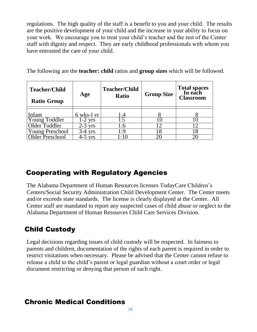regulations. The high quality of the staff is a benefit to you and your child. The results are the positive development of your child and the increase in your ability to focus on your work. We encourage you to treat your child's teacher and the rest of the Center staff with dignity and respect. They are early childhood professionals with whom you have entrusted the care of your child.

The following are the **teacher: child** ratios and **group sizes** which will be followed.

| <b>Teacher/Child</b><br><b>Ratio Group</b> | Age                              | <b>Teacher/Child</b><br><b>Ratio</b> | <b>Group Size</b> | Total spaces<br>In each<br><b>Classroom</b> |
|--------------------------------------------|----------------------------------|--------------------------------------|-------------------|---------------------------------------------|
|                                            |                                  |                                      |                   |                                             |
| Infant                                     | 6 wks-l yr                       | l :4                                 |                   |                                             |
| Young Toddler                              | $1-2$ yrs                        | l:5                                  |                   | Ю                                           |
| Older Toddler                              | $2 - 3$<br><b>V<sub>rs</sub></b> | l :6                                 |                   | ∣າ                                          |
| Young Preschool                            | <b>vrs</b>                       | 1:9                                  | 18                | 8                                           |
| <b>Older Preschool</b>                     | <b>V<sub>rs</sub></b>            | $\cdot$ .                            |                   |                                             |
|                                            |                                  |                                      |                   |                                             |

#### Cooperating with Regulatory Agencies

The Alabama Department of Human Resources licenses TodayCare Children's Centers/Social Security Administration Child Development Center. The Center meets and/or exceeds state standards. The license is clearly displayed at the Center. All Center staff are mandated to report any suspected cases of child abuse or neglect to the Alabama Department of Human Resources Child Care Services Division.

# Child Custody

Legal decisions regarding issues of child custody will be respected. In fairness to parents and children, documentation of the rights of each parent is required in order to restrict visitations when necessary. Please be advised that the Center cannot refuse to release a child to the child's parent or legal guardian without a court order or legal document restricting or denying that person of such right.

#### Chronic Medical Conditions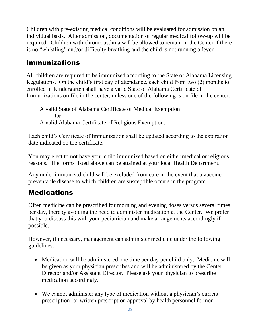Children with pre-existing medical conditions will be evaluated for admission on an individual basis. After admission, documentation of regular medical follow-up will be required. Children with chronic asthma will be allowed to remain in the Center if there is no "whistling" and/or difficulty breathing and the child is not running a fever.

#### Immunizations

All children are required to be immunized according to the State of Alabama Licensing Regulations. On the child's first day of attendance, each child from two (2) months to enrolled in Kindergarten shall have a valid State of Alabama Certificate of Immunizations on file in the center, unless one of the following is on file in the center:

A valid State of Alabama Certificate of Medical Exemption Or A valid Alabama Certificate of Religious Exemption.

Each child's Certificate of Immunization shall be updated according to the expiration date indicated on the certificate.

You may elect to not have your child immunized based on either medical or religious reasons. The forms listed above can be attained at your local Health Department.

Any under immunized child will be excluded from care in the event that a vaccinepreventable disease to which children are susceptible occurs in the program.

#### Medications

Often medicine can be prescribed for morning and evening doses versus several times per day, thereby avoiding the need to administer medication at the Center. We prefer that you discuss this with your pediatrician and make arrangements accordingly if possible.

However, if necessary, management can administer medicine under the following guidelines:

- Medication will be administered one time per day per child only. Medicine will be given as your physician prescribes and will be administered by the Center Director and/or Assistant Director. Please ask your physician to prescribe medication accordingly.
- We cannot administer any type of medication without a physician's current prescription (or written prescription approval by health personnel for non-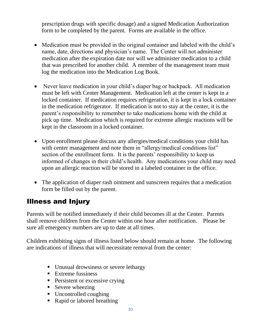prescription drugs with specific dosage) and a signed Medication Authorization form to be completed by the parent. Forms are available in the office.

- Medication must be provided in the original container and labeled with the child's name, date, directions and physician's name. The Center will not administer medication after the expiration date nor will we administer medication to a child that was prescribed for another child. A member of the management team must log the medication into the Medication Log Book.
- Never leave medication in your child's diaper bag or backpack. All medication must be left with Center Management. Medication left at the center is kept in a locked container. If medication requires refrigeration, it is kept in a lock container in the medication refrigerator. If medication is not to stay at the center, it is the parent's responsibility to remember to take medications home with the child at pick up time. Medication which is required for extreme allergic reactions will be kept in the classroom in a locked container.
- Upon enrollment please discuss any allergies/medical conditions your child has with center management and note them in "allergy/medical conditions list" section of the enrollment form. It is the parents' responsibility to keep us informed of changes in their child's health. Any medications your child may need upon an allergic reaction will be stored in a labeled container in the office.
- The application of diaper rash ointment and sunscreen requires that a medication form be filled out by the parent.

#### Illness and Injury

Parents will be notified immediately if their child becomes ill at the Center. Parents shall remove children from the Center within one hour after notification. Please be sure all emergency numbers are up to date at all times.

Children exhibiting signs of illness listed below should remain at home. The following are indications of illness that will necessitate removal from the center:

- Unusual drowsiness or severe lethargy
- Extreme fussiness
- **•** Persistent or excessive crying
- **Exerce** wheezing
- Uncontrolled coughing
- Rapid or labored breathing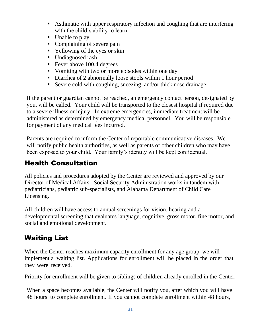- Asthmatic with upper respiratory infection and coughing that are interfering with the child's ability to learn.
- Unable to play
- Complaining of severe pain
- Yellowing of the eyes or skin
- Undiagnosed rash
- Fever above 100.4 degrees
- Vomiting with two or more episodes within one day
- Diarrhea of 2 abnormally loose stools within 1 hour period
- Severe cold with coughing, sneezing, and/or thick nose drainage

If the parent or guardian cannot be reached, an emergency contact person, designated by you, will be called. Your child will be transported to the closest hospital if required due to a severe illness or injury. In extreme emergencies, immediate treatment will be administered as determined by emergency medical personnel. You will be responsible for payment of any medical fees incurred.

Parents are required to inform the Center of reportable communicative diseases. We will notify public health authorities, as well as parents of other children who may have been exposed to your child. Your family's identity will be kept confidential.

#### Health Consultation

All policies and procedures adopted by the Center are reviewed and approved by our Director of Medical Affairs. Social Security Administration works in tandem with pediatricians, pediatric sub-specialists, and Alabama Department of Child Care Licensing.

All children will have access to annual screenings for vision, hearing and a developmental screening that evaluates language, cognitive, gross motor, fine motor, and social and emotional development.

#### Waiting List

When the Center reaches maximum capacity enrollment for any age group, we will implement a waiting list. Applications for enrollment will be placed in the order that they were received.

Priority for enrollment will be given to siblings of children already enrolled in the Center.

When a space becomes available, the Center will notify you, after which you will have 48 hours to complete enrollment. If you cannot complete enrollment within 48 hours,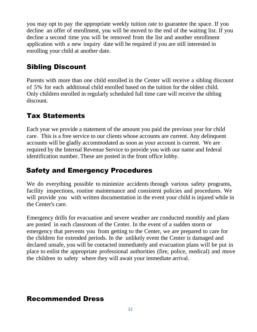you may opt to pay the appropriate weekly tuition rate to guarantee the space. If you decline an offer of enrollment, you will be moved to the end of the waiting list. If you decline a second time you will be removed from the list and another enrollment application with a new inquiry date will be required if you are still interested in enrolling your child at another date.

#### Sibling Discount

Parents with more than one child enrolled in the Center will receive a sibling discount of 5% for each additional child enrolled based on the tuition for the oldest child. Only children enrolled in regularly scheduled full time care will receive the sibling discount.

#### Tax Statements

Each year we provide a statement of the amount you paid the previous year for child care. This is a free service to our clients whose accounts are current. Any delinquent accounts will be gladly accommodated as soon as your account is current. We are required by the Internal Revenue Service to provide you with our name and federal identification number. These are posted in the front office lobby.

#### Safety and Emergency Procedures

We do everything possible to minimize accidents through various safety programs, facility inspections, routine maintenance and consistent policies and procedures. We will provide you with written documentation in the event your child is injured while in the Center's care.

Emergency drills for evacuation and severe weather are conducted monthly and plans are posted in each classroom of the Center. In the event of a sudden storm or emergency that prevents you from getting to the Center, we are prepared to care for the children for extended periods. In the unlikely event the Center is damaged and declared unsafe, you will be contacted immediately and evacuation plans will be put in place to enlist the appropriate professional authorities (fire, police, medical) and move the children to safety where they will await your immediate arrival.

#### Recommended Dress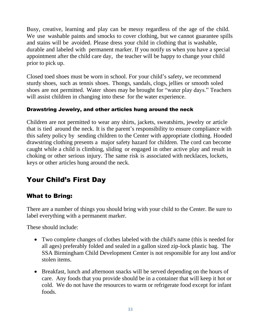Busy, creative, learning and play can be messy regardless of the age of the child. We use washable paints and smocks to cover clothing, but we cannot guarantee spills and stains will be avoided. Please dress your child in clothing that is washable, durable and labeled with permanent marker. If you notify us when you have a special appointment after the child care day, the teacher will be happy to change your child prior to pick up.

Closed toed shoes must be worn in school. For your child's safety, we recommend sturdy shoes, such as tennis shoes. Thongs, sandals, clogs, jellies or smooth soled shoes are not permitted. Water shoes may be brought for "water play days." Teachers will assist children in changing into these for the water experience.

#### Drawstring Jewelry, and other articles hung around the neck

Children are not permitted to wear any shirts, jackets, sweatshirts, jewelry or article that is tied around the neck. It is the parent's responsibility to ensure compliance with this safety policy by sending children to the Center with appropriate clothing. Hooded drawstring clothing presents a major safety hazard for children. The cord can become caught while a child is climbing, sliding or engaged in other active play and result in choking or other serious injury. The same risk is associated with necklaces, lockets, keys or other articles hung around the neck.

#### Your Child's First Day

#### What to Bring:

There are a number of things you should bring with your child to the Center. Be sure to label everything with a permanent marker.

These should include:

- Two complete changes of clothes labeled with the child's name (this is needed for all ages) preferably folded and sealed in a gallon sized zip-lock plastic bag. The SSA Birmingham Child Development Center is not responsible for any lost and/or stolen items.
- Breakfast, lunch and afternoon snacks will be served depending on the hours of care. Any foods that you provide should be in a container that will keep it hot or cold. We do not have the resources to warm or refrigerate food except for infant foods.